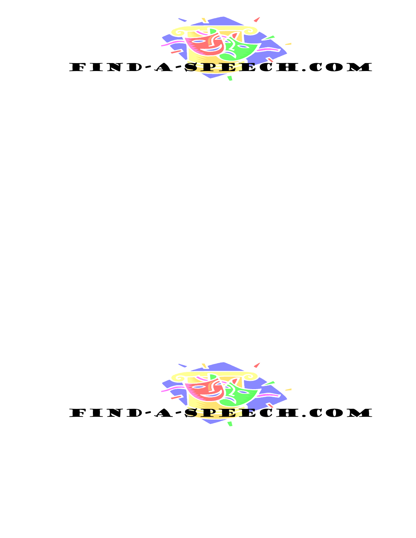

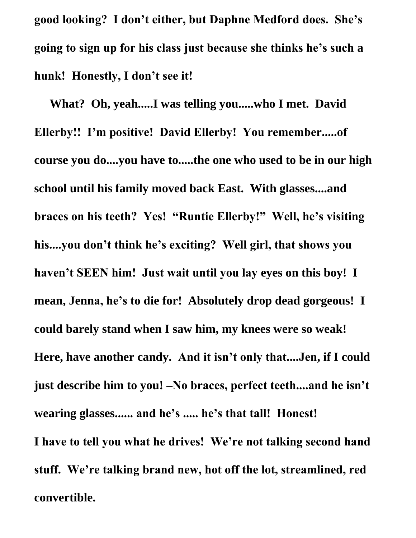**good looking? I don't either, but Daphne Medford does. She's going to sign up for his class just because she thinks he's such a hunk! Honestly, I don't see it!**

 **What? Oh, yeah.....I was telling you.....who I met. David Ellerby!! I'm positive! David Ellerby! You remember.....of course you do....you have to.....the one who used to be in our high school until his family moved back East. With glasses....and braces on his teeth? Yes! "Runtie Ellerby!" Well, he's visiting his....you don't think he's exciting? Well girl, that shows you haven't SEEN him! Just wait until you lay eyes on this boy! I mean, Jenna, he's to die for! Absolutely drop dead gorgeous! I could barely stand when I saw him, my knees were so weak! Here, have another candy. And it isn't only that....Jen, if I could just describe him to you! –No braces, perfect teeth....and he isn't wearing glasses...... and he's ..... he's that tall! Honest! I have to tell you what he drives! We're not talking second hand stuff. We're talking brand new, hot off the lot, streamlined, red** 

**convertible.**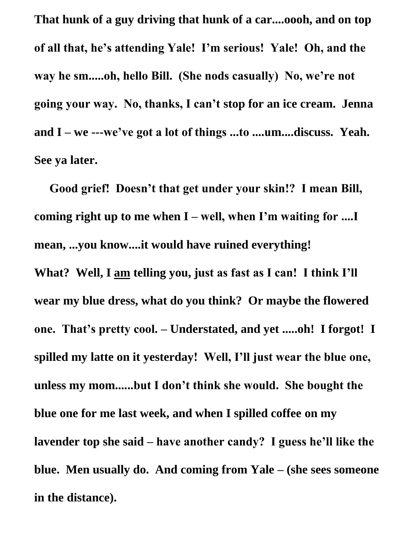**That hunk of a guy driving that hunk of a car....oooh, and on top of all that, he's attending Yale! I'm serious! Yale! Oh, and the way he sm.....oh, hello Bill. (She nods casually) No, we're not going your way. No, thanks, I can't stop for an ice cream. Jenna and I – we ---we've got a lot of things ...to ....um....discuss. Yeah. See ya later.**

 **Good grief! Doesn't that get under your skin!? I mean Bill, coming right up to me when I – well, when I'm waiting for ....I mean, ...you know....it would have ruined everything! What? Well, I am telling you, just as fast as I can! I think I'll wear my blue dress, what do you think? Or maybe the flowered one. That's pretty cool. – Understated, and yet .....oh! I forgot! I spilled my latte on it yesterday! Well, I'll just wear the blue one, unless my mom......but I don't think she would. She bought the blue one for me last week, and when I spilled coffee on my lavender top she said – have another candy? I guess he'll like the blue. Men usually do. And coming from Yale – (she sees someone in the distance).**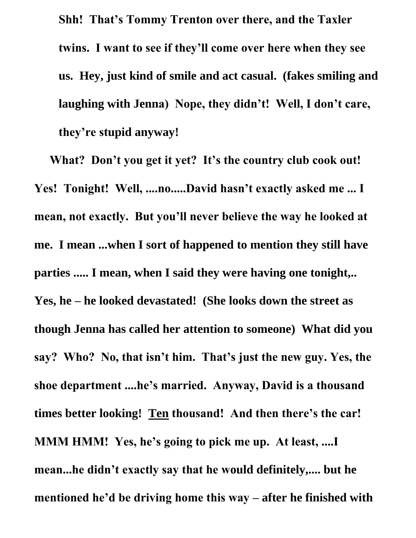**Shh! That's Tommy Trenton over there, and the Taxler twins. I want to see if they'll come over here when they see us. Hey, just kind of smile and act casual. (fakes smiling and laughing with Jenna) Nope, they didn't! Well, I don't care, they're stupid anyway!** 

 **What? Don't you get it yet? It's the country club cook out! Yes! Tonight! Well, ....no.....David hasn't exactly asked me ... I mean, not exactly. But you'll never believe the way he looked at me. I mean ...when I sort of happened to mention they still have parties ..... I mean, when I said they were having one tonight,.. Yes, he – he looked devastated! (She looks down the street as though Jenna has called her attention to someone) What did you say? Who? No, that isn't him. That's just the new guy. Yes, the shoe department ....he's married. Anyway, David is a thousand times better looking! Ten thousand! And then there's the car! MMM HMM! Yes, he's going to pick me up. At least, ....I mean...he didn't exactly say that he would definitely,.... but he mentioned he'd be driving home this way – after he finished with**